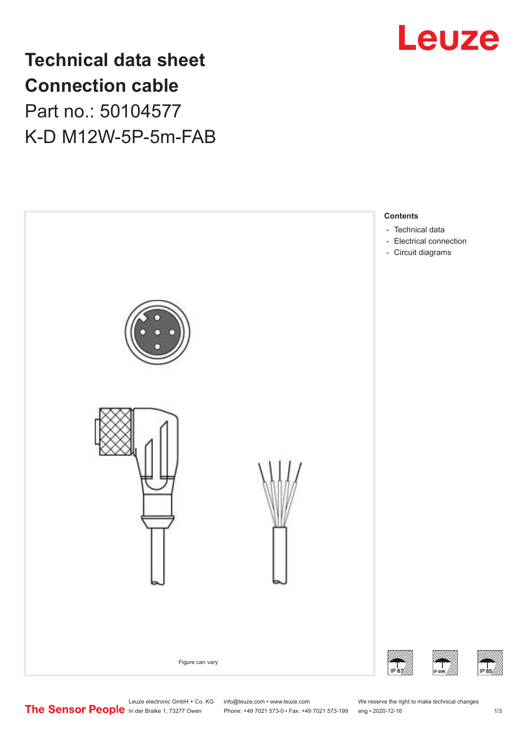

# **Technical data sheet Connection cable** Part no.: 50104577 K-D M12W-5P-5m-FAB



Phone: +49 7021 573-0 • Fax: +49 7021 573-199 eng • 2020-12-16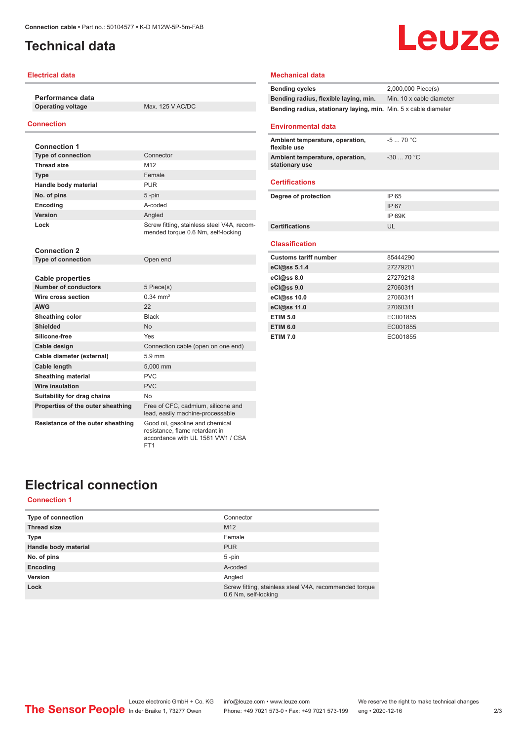### <span id="page-1-0"></span>**Technical data**

#### **Electrical data**

**Performance data Operating voltage** Max. 125 V AC/DC

#### **Connection**

| <b>Connection 1</b>               |                                                                                  |
|-----------------------------------|----------------------------------------------------------------------------------|
| <b>Type of connection</b>         | Connector                                                                        |
| <b>Thread size</b>                | M <sub>12</sub>                                                                  |
| <b>Type</b>                       | Female                                                                           |
| Handle body material              | <b>PUR</b>                                                                       |
| No. of pins                       | $5 - pin$                                                                        |
| Encoding                          | A-coded                                                                          |
| Version                           | Angled                                                                           |
| Lock                              | Screw fitting, stainless steel V4A, recom-<br>mended torque 0.6 Nm, self-locking |
| <b>Connection 2</b>               |                                                                                  |
| <b>Type of connection</b>         | Open end                                                                         |
|                                   |                                                                                  |
| Cable properties                  |                                                                                  |
| <b>Number of conductors</b>       | 5 Piece(s)                                                                       |
| Wire cross section                | $0.34 \, \text{mm}^2$                                                            |
| <b>AWG</b>                        | 22                                                                               |
| Sheathing color                   | <b>Black</b>                                                                     |
| Shielded                          | <b>No</b>                                                                        |
| Silicone-free                     | Yes                                                                              |
| Cable design                      | Connection cable (open on one end)                                               |
| Cable diameter (external)         | $5.9 \text{ mm}$                                                                 |
| <b>Cable length</b>               | 5,000 mm                                                                         |
| <b>Sheathing material</b>         | <b>PVC</b>                                                                       |
| <b>Wire insulation</b>            | PVC                                                                              |
| Suitability for drag chains       | No                                                                               |
| Properties of the outer sheathing | Free of CFC, cadmium, silicone and<br>lead, easily machine-processable           |
| Resistance of the outer sheathing | Good oil, gasoline and chemical<br>resistance, flame retardant in                |

FT1

#### **Mechanical data**

| <b>Bending cycles</b>                                           | 2.000.000 Piece(s)       |
|-----------------------------------------------------------------|--------------------------|
| Bending radius, flexible laying, min.                           | Min. 10 x cable diameter |
| Bending radius, stationary laying, min. Min. 5 x cable diameter |                          |

Leuze

#### **Environmental data**

| Ambient temperature, operation,<br>flexible use   | $-570 °C$   |
|---------------------------------------------------|-------------|
| Ambient temperature, operation,<br>stationary use | $-30$ 70 °C |
|                                                   |             |

#### **Certifications**

| Degree of protection  | IP 65  |
|-----------------------|--------|
|                       | IP 67  |
|                       | IP 69K |
| <b>Certifications</b> | UL     |
|                       |        |

#### **Classification**

| <b>Customs tariff number</b> | 85444290 |
|------------------------------|----------|
| eCl@ss 5.1.4                 | 27279201 |
| eCl@ss 8.0                   | 27279218 |
| eCl@ss 9.0                   | 27060311 |
| eCl@ss 10.0                  | 27060311 |
| eCl@ss 11.0                  | 27060311 |
| <b>ETIM 5.0</b>              | EC001855 |
| <b>ETIM 6.0</b>              | EC001855 |
| <b>ETIM 7.0</b>              | EC001855 |

### **Electrical connection**

#### **Connection 1**

| <b>Type of connection</b> | Connector                                                                      |
|---------------------------|--------------------------------------------------------------------------------|
| <b>Thread size</b>        | M <sub>12</sub>                                                                |
| <b>Type</b>               | Female                                                                         |
| Handle body material      | <b>PUR</b>                                                                     |
| No. of pins               | $5 - pin$                                                                      |
| Encoding                  | A-coded                                                                        |
| Version                   | Angled                                                                         |
| Lock                      | Screw fitting, stainless steel V4A, recommended torque<br>0.6 Nm, self-locking |

accordance with UL 1581 VW1 / CSA